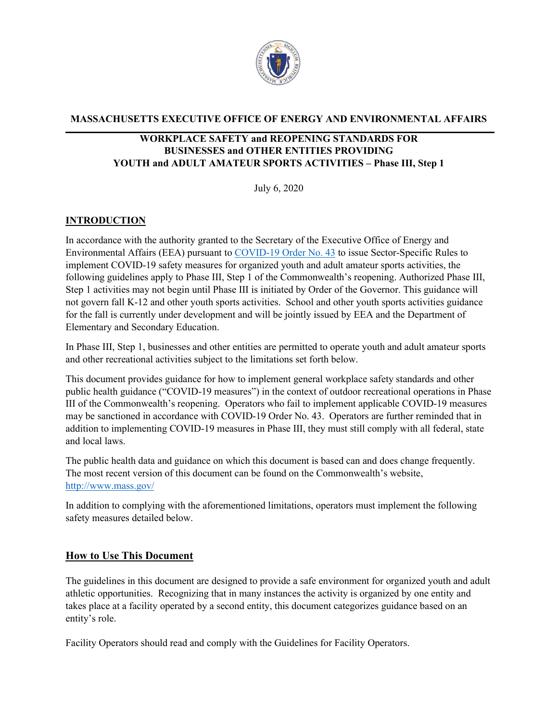

#### **MASSACHUSETTS EXECUTIVE OFFICE OF ENERGY AND ENVIRONMENTAL AFFAIRS**

## **WORKPLACE SAFETY and REOPENING STANDARDS FOR BUSINESSES and OTHER ENTITIES PROVIDING YOUTH and ADULT AMATEUR SPORTS ACTIVITIES – Phase III, Step 1**

July 6, 2020

# **INTRODUCTION**

In accordance with the authority granted to the Secretary of the Executive Office of Energy and Environmental Affairs (EEA) pursuant to [COVID-19 Order No. 43](https://www.mass.gov/doc/june-6-2020-phase-ii-reopening/download) to issue Sector-Specific Rules to implement COVID-19 safety measures for organized youth and adult amateur sports activities, the following guidelines apply to Phase III, Step 1 of the Commonwealth's reopening. Authorized Phase III, Step 1 activities may not begin until Phase III is initiated by Order of the Governor. This guidance will not govern fall K-12 and other youth sports activities. School and other youth sports activities guidance for the fall is currently under development and will be jointly issued by EEA and the Department of Elementary and Secondary Education.

In Phase III, Step 1, businesses and other entities are permitted to operate youth and adult amateur sports and other recreational activities subject to the limitations set forth below.

This document provides guidance for how to implement general workplace safety standards and other public health guidance ("COVID-19 measures") in the context of outdoor recreational operations in Phase III of the Commonwealth's reopening. Operators who fail to implement applicable COVID-19 measures may be sanctioned in accordance with COVID-19 Order No. 43. Operators are further reminded that in addition to implementing COVID-19 measures in Phase III, they must still comply with all federal, state and local laws.

The public health data and guidance on which this document is based can and does change frequently. The most recent version of this document can be found on the Commonwealth's website, <http://www.mass.gov/>

In addition to complying with the aforementioned limitations, operators must implement the following safety measures detailed below.

## **How to Use This Document**

The guidelines in this document are designed to provide a safe environment for organized youth and adult athletic opportunities. Recognizing that in many instances the activity is organized by one entity and takes place at a facility operated by a second entity, this document categorizes guidance based on an entity's role.

Facility Operators should read and comply with the Guidelines for Facility Operators.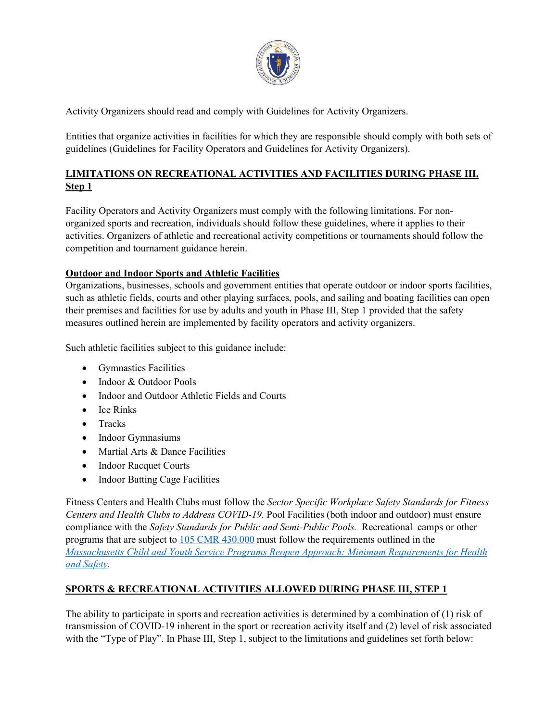

Activity Organizers should read and comply with Guidelines for Activity Organizers.

Entities that organize activities in facilities for which they are responsible should comply with both sets of guidelines (Guidelines for Facility Operators and Guidelines for Activity Organizers).

# **LIMITATIONS ON RECREATIONAL ACTIVITIES AND FACILITIES DURING PHASE III, Step 1**

Facility Operators and Activity Organizers must comply with the following limitations. For nonorganized sports and recreation, individuals should follow these guidelines, where it applies to their activities. Organizers of athletic and recreational activity competitions or tournaments should follow the competition and tournament guidance herein.

# **Outdoor and Indoor Sports and Athletic Facilities**

Organizations, businesses, schools and government entities that operate outdoor or indoor sports facilities, such as athletic fields, courts and other playing surfaces, pools, and sailing and boating facilities can open their premises and facilities for use by adults and youth in Phase III, Step 1 provided that the safety measures outlined herein are implemented by facility operators and activity organizers.

Such athletic facilities subject to this guidance include:

- Gymnastics Facilities
- Indoor & Outdoor Pools
- Indoor and Outdoor Athletic Fields and Courts
- Ice Rinks
- Tracks
- Indoor Gymnasiums
- Martial Arts & Dance Facilities
- Indoor Racquet Courts
- Indoor Batting Cage Facilities

Fitness Centers and Health Clubs must follow the *Sector Specific Workplace Safety Standards for Fitness Centers and Health Clubs to Address COVID-19.* Pool Facilities (both indoor and outdoor) must ensure compliance with the *Safety Standards for Public and Semi-Public Pools.* Recreational camps or other programs that are subject to [105 CMR 430.000](https://www.mass.gov/doc/105-cmr-430-minimum-standards-for-recreational-camps-for-children-state-sanitary-code-chapter/download) must follow the requirements outlined in the *[Massachusetts Child and Youth Service Programs Reopen Approach: Minimum Requirements for Health](https://eeclead.force.com/resource/1592325278000/Min_Req)  [and Safety.](https://eeclead.force.com/resource/1592325278000/Min_Req)* 

# **SPORTS & RECREATIONAL ACTIVITIES ALLOWED DURING PHASE III, STEP 1**

The ability to participate in sports and recreation activities is determined by a combination of (1) risk of transmission of COVID-19 inherent in the sport or recreation activity itself and (2) level of risk associated with the "Type of Play". In Phase III, Step 1, subject to the limitations and guidelines set forth below: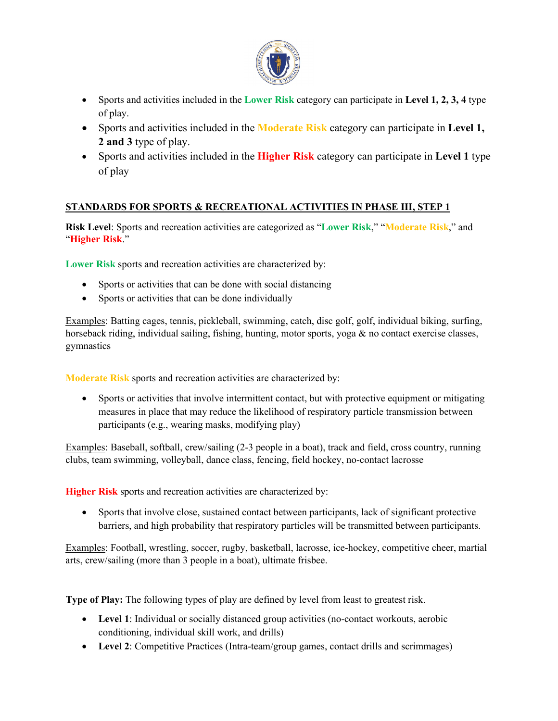

- Sports and activities included in the **Lower Risk** category can participate in **Level 1, 2, 3, 4** type of play.
- Sports and activities included in the **Moderate Risk** category can participate in **Level 1, 2 and 3** type of play.
- Sports and activities included in the **Higher Risk** category can participate in **Level 1** type of play

# **STANDARDS FOR SPORTS & RECREATIONAL ACTIVITIES IN PHASE III, STEP 1**

**Risk Level**: Sports and recreation activities are categorized as "**Lower Risk**," "**Moderate Risk**," and "**Higher Risk**."

**Lower Risk** sports and recreation activities are characterized by:

- Sports or activities that can be done with social distancing
- Sports or activities that can be done individually

Examples: Batting cages, tennis, pickleball, swimming, catch, disc golf, golf, individual biking, surfing, horseback riding, individual sailing, fishing, hunting, motor sports, yoga & no contact exercise classes, gymnastics

**Moderate Risk** sports and recreation activities are characterized by:

• Sports or activities that involve intermittent contact, but with protective equipment or mitigating measures in place that may reduce the likelihood of respiratory particle transmission between participants (e.g., wearing masks, modifying play)

Examples: Baseball, softball, crew/sailing (2-3 people in a boat), track and field, cross country, running clubs, team swimming, volleyball, dance class, fencing, field hockey, no-contact lacrosse

**Higher Risk** sports and recreation activities are characterized by:

• Sports that involve close, sustained contact between participants, lack of significant protective barriers, and high probability that respiratory particles will be transmitted between participants.

Examples: Football, wrestling, soccer, rugby, basketball, lacrosse, ice-hockey, competitive cheer, martial arts, crew/sailing (more than 3 people in a boat), ultimate frisbee.

**Type of Play:** The following types of play are defined by level from least to greatest risk.

- **Level 1**: Individual or socially distanced group activities (no-contact workouts, aerobic conditioning, individual skill work, and drills)
- Level 2: Competitive Practices (Intra-team/group games, contact drills and scrimmages)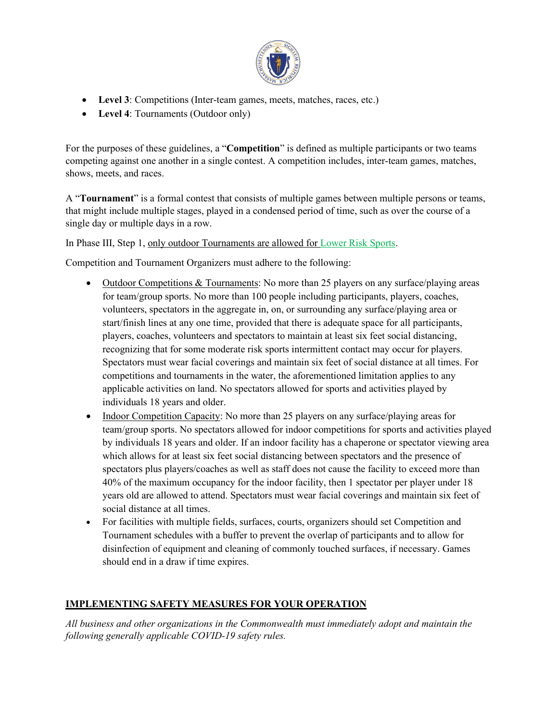

- **Level 3**: Competitions (Inter-team games, meets, matches, races, etc.)
- **Level 4**: Tournaments (Outdoor only)

For the purposes of these guidelines, a "**Competition**" is defined as multiple participants or two teams competing against one another in a single contest. A competition includes, inter-team games, matches, shows, meets, and races.

A "**Tournament**" is a formal contest that consists of multiple games between multiple persons or teams, that might include multiple stages, played in a condensed period of time, such as over the course of a single day or multiple days in a row.

In Phase III, Step 1, only outdoor Tournaments are allowed for Lower Risk Sports.

Competition and Tournament Organizers must adhere to the following:

- Outdoor Competitions & Tournaments: No more than 25 players on any surface/playing areas for team/group sports. No more than 100 people including participants, players, coaches, volunteers, spectators in the aggregate in, on, or surrounding any surface/playing area or start/finish lines at any one time, provided that there is adequate space for all participants, players, coaches, volunteers and spectators to maintain at least six feet social distancing, recognizing that for some moderate risk sports intermittent contact may occur for players. Spectators must wear facial coverings and maintain six feet of social distance at all times. For competitions and tournaments in the water, the aforementioned limitation applies to any applicable activities on land. No spectators allowed for sports and activities played by individuals 18 years and older.
- Indoor Competition Capacity: No more than 25 players on any surface/playing areas for team/group sports. No spectators allowed for indoor competitions for sports and activities played by individuals 18 years and older. If an indoor facility has a chaperone or spectator viewing area which allows for at least six feet social distancing between spectators and the presence of spectators plus players/coaches as well as staff does not cause the facility to exceed more than 40% of the maximum occupancy for the indoor facility, then 1 spectator per player under 18 years old are allowed to attend. Spectators must wear facial coverings and maintain six feet of social distance at all times.
- For facilities with multiple fields, surfaces, courts, organizers should set Competition and Tournament schedules with a buffer to prevent the overlap of participants and to allow for disinfection of equipment and cleaning of commonly touched surfaces, if necessary. Games should end in a draw if time expires.

# **IMPLEMENTING SAFETY MEASURES FOR YOUR OPERATION**

*All business and other organizations in the Commonwealth must immediately adopt and maintain the following generally applicable COVID-19 safety rules.*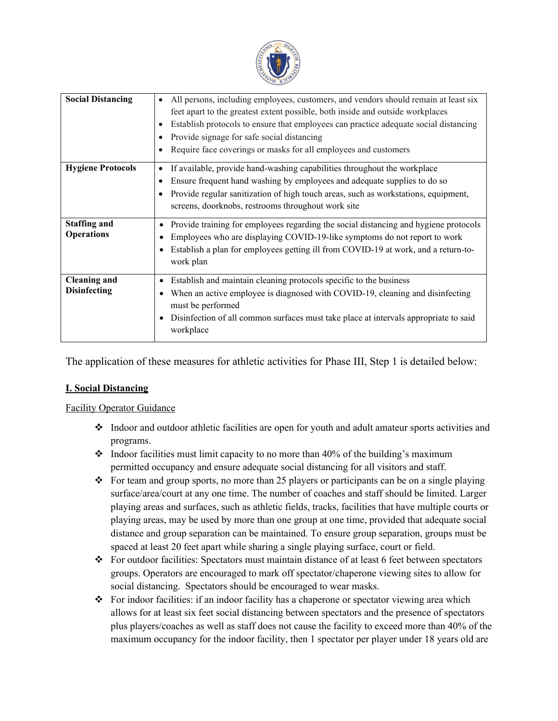

| <b>Social Distancing</b>                   | All persons, including employees, customers, and vendors should remain at least six<br>feet apart to the greatest extent possible, both inside and outside workplaces<br>Establish protocols to ensure that employees can practice adequate social distancing<br>Provide signage for safe social distancing<br>Require face coverings or masks for all employees and customers |
|--------------------------------------------|--------------------------------------------------------------------------------------------------------------------------------------------------------------------------------------------------------------------------------------------------------------------------------------------------------------------------------------------------------------------------------|
| <b>Hygiene Protocols</b>                   | If available, provide hand-washing capabilities throughout the workplace<br>Ensure frequent hand washing by employees and adequate supplies to do so<br>Provide regular sanitization of high touch areas, such as workstations, equipment,<br>screens, doorknobs, restrooms throughout work site                                                                               |
| <b>Staffing and</b><br><b>Operations</b>   | Provide training for employees regarding the social distancing and hygiene protocols<br>Employees who are displaying COVID-19-like symptoms do not report to work<br>Establish a plan for employees getting ill from COVID-19 at work, and a return-to-<br>work plan                                                                                                           |
| <b>Cleaning and</b><br><b>Disinfecting</b> | Establish and maintain cleaning protocols specific to the business<br>When an active employee is diagnosed with COVID-19, cleaning and disinfecting<br>must be performed<br>Disinfection of all common surfaces must take place at intervals appropriate to said<br>workplace                                                                                                  |

The application of these measures for athletic activities for Phase III, Step 1 is detailed below:

## **I. Social Distancing**

## Facility Operator Guidance

- $\bullet$  Indoor and outdoor athletic facilities are open for youth and adult amateur sports activities and programs.
- $\div$  Indoor facilities must limit capacity to no more than 40% of the building's maximum permitted occupancy and ensure adequate social distancing for all visitors and staff.
- $\bullet$  For team and group sports, no more than 25 players or participants can be on a single playing surface/area/court at any one time. The number of coaches and staff should be limited. Larger playing areas and surfaces, such as athletic fields, tracks, facilities that have multiple courts or playing areas, may be used by more than one group at one time, provided that adequate social distance and group separation can be maintained. To ensure group separation, groups must be spaced at least 20 feet apart while sharing a single playing surface, court or field.
- $\div$  For outdoor facilities: Spectators must maintain distance of at least 6 feet between spectators groups. Operators are encouraged to mark off spectator/chaperone viewing sites to allow for social distancing. Spectators should be encouraged to wear masks.
- For indoor facilities: if an indoor facility has a chaperone or spectator viewing area which allows for at least six feet social distancing between spectators and the presence of spectators plus players/coaches as well as staff does not cause the facility to exceed more than 40% of the maximum occupancy for the indoor facility, then 1 spectator per player under 18 years old are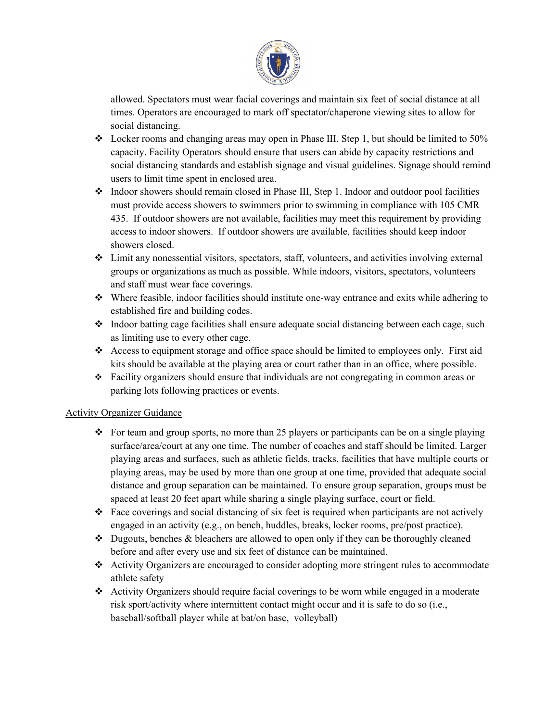

allowed. Spectators must wear facial coverings and maintain six feet of social distance at all times. Operators are encouraged to mark off spectator/chaperone viewing sites to allow for social distancing.

- $\div$  Locker rooms and changing areas may open in Phase III, Step 1, but should be limited to 50% capacity. Facility Operators should ensure that users can abide by capacity restrictions and social distancing standards and establish signage and visual guidelines. Signage should remind users to limit time spent in enclosed area.
- $\bullet$  Indoor showers should remain closed in Phase III, Step 1. Indoor and outdoor pool facilities must provide access showers to swimmers prior to swimming in compliance with 105 CMR 435. If outdoor showers are not available, facilities may meet this requirement by providing access to indoor showers. If outdoor showers are available, facilities should keep indoor showers closed.
- $\div$  Limit any nonessential visitors, spectators, staff, volunteers, and activities involving external groups or organizations as much as possible. While indoors, visitors, spectators, volunteers and staff must wear face coverings.
- $\bullet$  Where feasible, indoor facilities should institute one-way entrance and exits while adhering to established fire and building codes.
- Indoor batting cage facilities shall ensure adequate social distancing between each cage, such as limiting use to every other cage.
- $\triangle$  Access to equipment storage and office space should be limited to employees only. First aid kits should be available at the playing area or court rather than in an office, where possible.
- $\div$  Facility organizers should ensure that individuals are not congregating in common areas or parking lots following practices or events.

## Activity Organizer Guidance

- For team and group sports, no more than 25 players or participants can be on a single playing surface/area/court at any one time. The number of coaches and staff should be limited. Larger playing areas and surfaces, such as athletic fields, tracks, facilities that have multiple courts or playing areas, may be used by more than one group at one time, provided that adequate social distance and group separation can be maintained. To ensure group separation, groups must be spaced at least 20 feet apart while sharing a single playing surface, court or field.
- Face coverings and social distancing of six feet is required when participants are not actively engaged in an activity (e.g., on bench, huddles, breaks, locker rooms, pre/post practice).
- $\bullet$  Dugouts, benches & bleachers are allowed to open only if they can be thoroughly cleaned before and after every use and six feet of distance can be maintained.
- Activity Organizers are encouraged to consider adopting more stringent rules to accommodate athlete safety
- Activity Organizers should require facial coverings to be worn while engaged in a moderate risk sport/activity where intermittent contact might occur and it is safe to do so (i.e., baseball/softball player while at bat/on base, volleyball)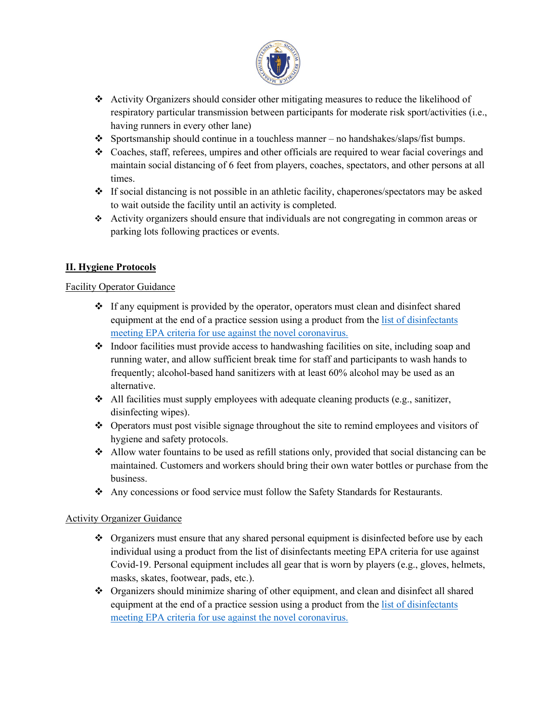

- Activity Organizers should consider other mitigating measures to reduce the likelihood of respiratory particular transmission between participants for moderate risk sport/activities (i.e., having runners in every other lane)
- $\bullet$  Sportsmanship should continue in a touchless manner no handshakes/slaps/fist bumps.
- $\bullet$  Coaches, staff, referees, umpires and other officials are required to wear facial coverings and maintain social distancing of 6 feet from players, coaches, spectators, and other persons at all times.
- $\div$  If social distancing is not possible in an athletic facility, chaperones/spectators may be asked to wait outside the facility until an activity is completed.
- Activity organizers should ensure that individuals are not congregating in common areas or parking lots following practices or events.

# **II. Hygiene Protocols**

#### Facility Operator Guidance

- $\div$  If any equipment is provided by the operator, operators must clean and disinfect shared equipment at the end of a practice session using a product from th[e list of disinfectants](https://www.epa.gov/pesticide-registration/list-n-disinfectants-use-against-sars-cov-2)  [meeting EPA criteria for use against the novel coronavirus.](https://www.epa.gov/pesticide-registration/list-n-disinfectants-use-against-sars-cov-2)
- $\bullet$  Indoor facilities must provide access to handwashing facilities on site, including soap and running water, and allow sufficient break time for staff and participants to wash hands to frequently; alcohol-based hand sanitizers with at least 60% alcohol may be used as an alternative.
- $\triangleleft$  All facilities must supply employees with adequate cleaning products (e.g., sanitizer, disinfecting wipes).
- Operators must post visible signage throughout the site to remind employees and visitors of hygiene and safety protocols.
- $\triangle$  Allow water fountains to be used as refill stations only, provided that social distancing can be maintained. Customers and workers should bring their own water bottles or purchase from the business.
- Any concessions or food service must follow the Safety Standards for Restaurants.

## Activity Organizer Guidance

- $\bullet$  Organizers must ensure that any shared personal equipment is disinfected before use by each individual using a product from the list of disinfectants meeting EPA criteria for use against Covid-19. Personal equipment includes all gear that is worn by players (e.g., gloves, helmets, masks, skates, footwear, pads, etc.).
- Organizers should minimize sharing of other equipment, and clean and disinfect all shared equipment at the end of a practice session using a product from th[e list of disinfectants](https://www.epa.gov/pesticide-registration/list-n-disinfectants-use-against-sars-cov-2) [meeting EPA criteria for use against the novel coronavirus.](https://www.epa.gov/pesticide-registration/list-n-disinfectants-use-against-sars-cov-2)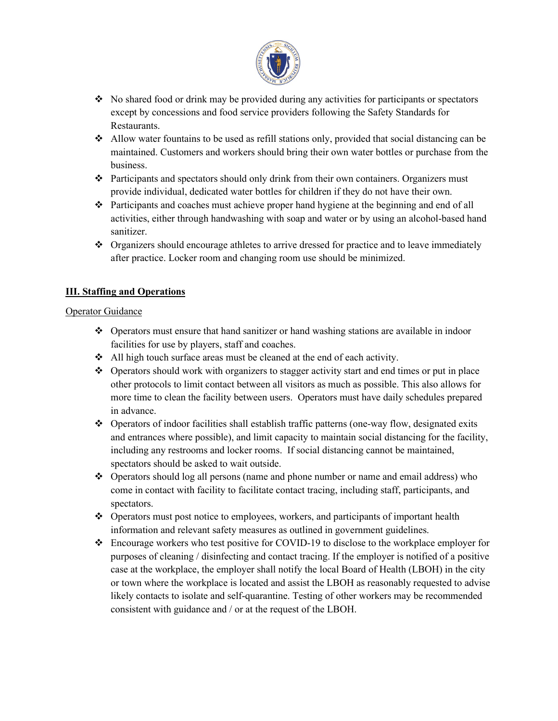

- $\bullet$  No shared food or drink may be provided during any activities for participants or spectators except by concessions and food service providers following the Safety Standards for Restaurants.
- $\triangle$  Allow water fountains to be used as refill stations only, provided that social distancing can be maintained. Customers and workers should bring their own water bottles or purchase from the business.
- $\hat{\cdot}$  Participants and spectators should only drink from their own containers. Organizers must provide individual, dedicated water bottles for children if they do not have their own.
- Participants and coaches must achieve proper hand hygiene at the beginning and end of all activities, either through handwashing with soap and water or by using an alcohol-based hand sanitizer.
- $\bullet$  Organizers should encourage athletes to arrive dressed for practice and to leave immediately after practice. Locker room and changing room use should be minimized.

# **III. Staffing and Operations**

#### Operator Guidance

- $\bullet$  Operators must ensure that hand sanitizer or hand washing stations are available in indoor facilities for use by players, staff and coaches.
- All high touch surface areas must be cleaned at the end of each activity.
- ◆ Operators should work with organizers to stagger activity start and end times or put in place other protocols to limit contact between all visitors as much as possible. This also allows for more time to clean the facility between users. Operators must have daily schedules prepared in advance.
- $\bullet$  Operators of indoor facilities shall establish traffic patterns (one-way flow, designated exits and entrances where possible), and limit capacity to maintain social distancing for the facility, including any restrooms and locker rooms. If social distancing cannot be maintained, spectators should be asked to wait outside.
- Operators should log all persons (name and phone number or name and email address) who come in contact with facility to facilitate contact tracing, including staff, participants, and spectators.
- $\triangle$  Operators must post notice to employees, workers, and participants of important health information and relevant safety measures as outlined in government guidelines.
- Encourage workers who test positive for COVID-19 to disclose to the workplace employer for purposes of cleaning / disinfecting and contact tracing. If the employer is notified of a positive case at the workplace, the employer shall notify the local Board of Health (LBOH) in the city or town where the workplace is located and assist the LBOH as reasonably requested to advise likely contacts to isolate and self-quarantine. Testing of other workers may be recommended consistent with guidance and / or at the request of the LBOH.